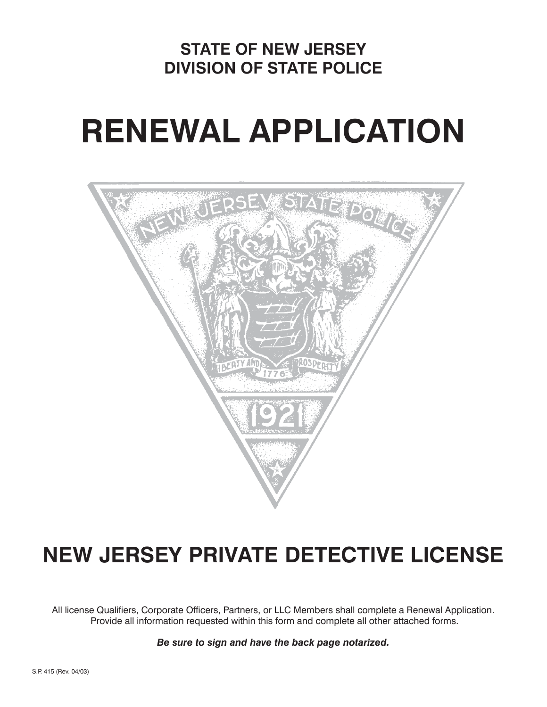## **STATE OF NEW JERSEY DIVISION OF STATE POLICE**

# **RENEWAL APPLICATION**



# **NEW JERSEY PRIVATE DETECTIVE LICENSE**

All license Qualifiers, Corporate Officers, Partners, or LLC Members shall complete a Renewal Application. Provide all information requested within this form and complete all other attached forms.

*Be sure to sign and have the back page notarized.*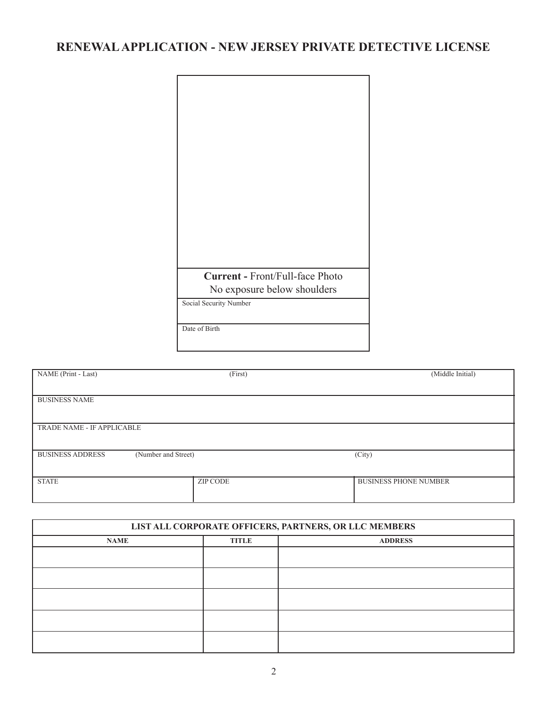### **RENEWAL APPLICATION - NEW JERSEY PRIVATE DETECTIVE LICENSE**

| <b>Current - Front/Full-face Photo</b> |
|----------------------------------------|
|                                        |
| No exposure below shoulders            |
| Social Security Number                 |
|                                        |
| Date of Birth                          |

| NAME (Print - Last)                            | (First)         | (Middle Initial)             |
|------------------------------------------------|-----------------|------------------------------|
|                                                |                 |                              |
|                                                |                 |                              |
|                                                |                 |                              |
| <b>BUSINESS NAME</b>                           |                 |                              |
|                                                |                 |                              |
|                                                |                 |                              |
|                                                |                 |                              |
| TRADE NAME - IF APPLICABLE                     |                 |                              |
|                                                |                 |                              |
|                                                |                 |                              |
| (Number and Street)<br><b>BUSINESS ADDRESS</b> |                 | (City)                       |
|                                                |                 |                              |
|                                                |                 |                              |
|                                                |                 |                              |
| <b>STATE</b>                                   | <b>ZIP CODE</b> | <b>BUSINESS PHONE NUMBER</b> |
|                                                |                 |                              |
|                                                |                 |                              |
|                                                |                 |                              |

| LIST ALL CORPORATE OFFICERS, PARTNERS, OR LLC MEMBERS |              |                |  |  |
|-------------------------------------------------------|--------------|----------------|--|--|
| <b>NAME</b>                                           | <b>TITLE</b> | <b>ADDRESS</b> |  |  |
|                                                       |              |                |  |  |
|                                                       |              |                |  |  |
|                                                       |              |                |  |  |
|                                                       |              |                |  |  |
|                                                       |              |                |  |  |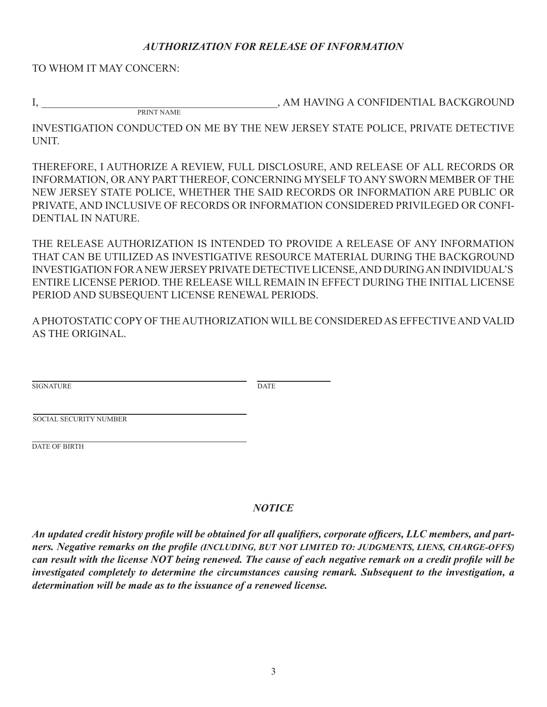#### *AUTHORIZATION FOR RELEASE OF INFORMATION*

TO WHOM IT MAY CONCERN:

PRINT NAME

I, AM HAVING A CONFIDENTIAL BACK GROUND

INVESTIGATION CONDUCTED ON ME BY THE NEW JERSEY STATE POLICE, PRIVATE DETECTIVE **UNIT.** 

THEREFORE, I AUTHORIZE A REVIEW, FULL DISCLOSURE, AND RELEASE OF ALL RECORDS OR INFORMATION, OR ANY PART THEREOF, CONCERNING MYSELF TO ANY SWORN MEMBER OF THE NEW JERSEY STATE POLICE, WHETHER THE SAID RECORDS OR INFORMATION ARE PUBLIC OR PRIVATE, AND INCLUSIVE OF RECORDS OR INFORMATION CONSIDERED PRIVILEGED OR CONFI-DENTIAL IN NATURE.

THE RELEASE AUTHORIZATION IS INTENDED TO PROVIDE A RELEASE OF ANY INFORMATION THAT CAN BE UTILIZED AS INVESTIGATIVE RESOURCE MATERIAL DURING THE BACKGROUND INVESTIGATION FOR A NEW JERSEY PRIVATE DETECTIVE LICENSE, AND DURING AN INDIVIDUAL'S ENTIRE LICENSE PERIOD. THE RELEASE WILL REMAIN IN EFFECT DURING THE INITIAL LICENSE PERIOD AND SUBSEQUENT LICENSE RENEWAL PERIODS.

A PHOTOSTATIC COPY OF THE AUTHORIZATION WILL BE CONSIDERED AS EFFECTIVE AND VAL ID AS THE ORIGINAL.

SIGNATURE DATE

SOCIAL SECURITY NUMBER

DATE OF BIRTH

#### *NOTICE*

An updated credit history profile will be obtained for all qualifiers, corporate officers, LLC members, and part*ners. Negative remarks on the profile (INCLUDING, BUT NOT LIMITED TO: JUDGMENTS, LIENS, CHARGE-OFFS) can result with the license NOT being renewed. The cause of each negative remark on a credit profile will be investigated completely to determine the circumstances causing remark. Subsequent to the investigation, a de ter mi na tion will be made as to the issuance of a renewed license.*